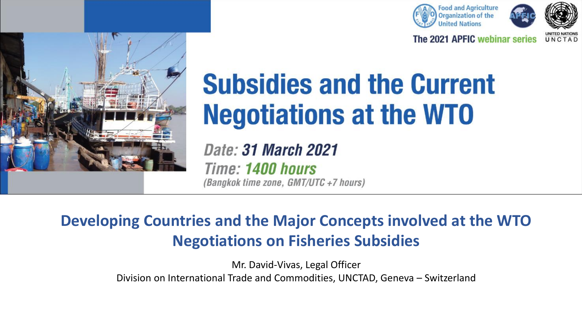



The 2021 APFIC webinar series UNCTAD



# **Subsidies and the Current Negotiations at the WTO**

Date: 31 March 2021 Time: 1400 hours (Bangkok time zone, GMT/UTC +7 hours)

#### **Developing Countries and the Major Concepts involved at the WTO Negotiations on Fisheries Subsidies**

Mr. David-Vivas, Legal Officer Division on International Trade and Commodities, UNCTAD, Geneva – Switzerland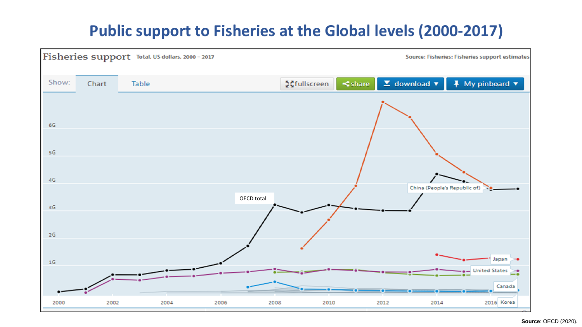#### **Public support to Fisheries at the Global levels (2000-2017)**

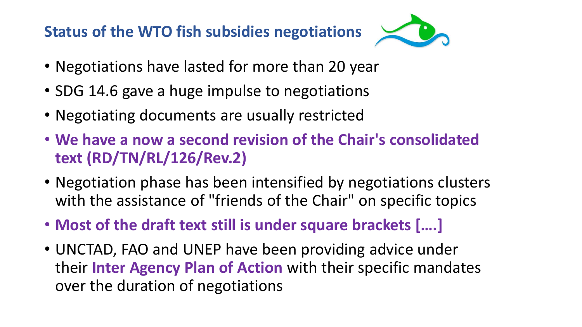#### **Status of the WTO fish subsidies negotiations**



- Negotiations have lasted for more than 20 year
- SDG 14.6 gave a huge impulse to negotiations
- Negotiating documents are usually restricted
- **We have a now a second revision of the Chair's consolidated text (RD/TN/RL/126/Rev.2)**
- Negotiation phase has been intensified by negotiations clusters with the assistance of "friends of the Chair" on specific topics
- **Most of the draft text still is under square brackets [….]**
- UNCTAD, FAO and UNEP have been providing advice under their **Inter Agency Plan of Action** with their specific mandates over the duration of negotiations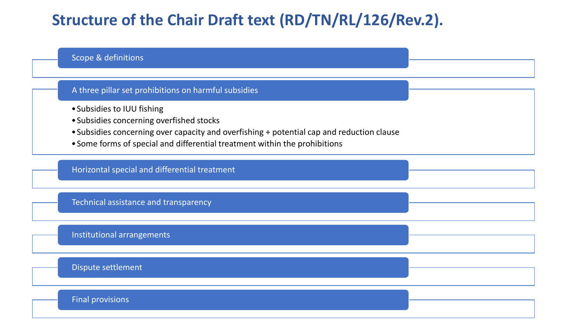#### **Structure of the Chair Draft text (RD/TN/RL/126/Rev.2).**

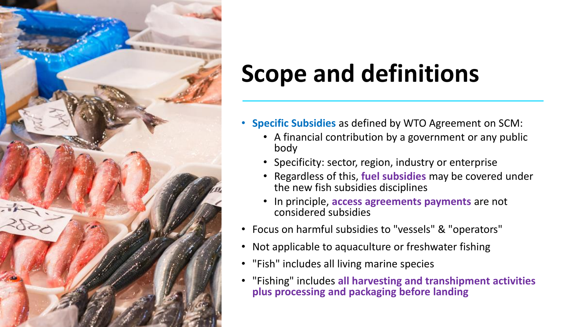

## **Scope and definitions**

- **Specific Subsidies** as defined by WTO Agreement on SCM:
	- A financial contribution by a government or any public body
	- Specificity: sector, region, industry or enterprise
	- Regardless of this, **fuel subsidies** may be covered under the new fish subsidies disciplines
	- In principle, **access agreements payments** are not considered subsidies
- Focus on harmful subsidies to "vessels" & "operators"
- Not applicable to aquaculture or freshwater fishing
- "Fish" includes all living marine species
- "Fishing" includes **all harvesting and transhipment activities plus processing and packaging before landing**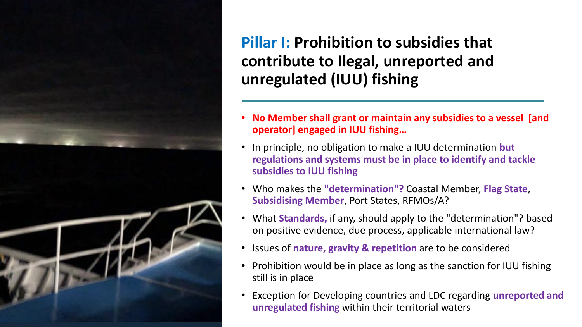

#### **Pillar I: Prohibition to subsidies that contribute to Ilegal, unreported and unregulated (IUU) fishing**

- **No Member shall grant or maintain any subsidies to a vessel [and operator] engaged in IUU fishing…**
- In principle, no obligation to make a IUU determination **but regulations and systems must be in place to identify and tackle subsidies to IUU fishing**
- Who makes the **"determination"?** Coastal Member, **Flag State**, **Subsidising Member**, Port States, RFMOs/A?
- What **Standards,** if any, should apply to the "determination"? based on positive evidence, due process, applicable international law?
- Issues of **nature, gravity & repetition** are to be considered
- Prohibition would be in place as long as the sanction for IUU fishing still is in place
- Exception for Developing countries and LDC regarding **unreported and unregulated fishing** within their territorial waters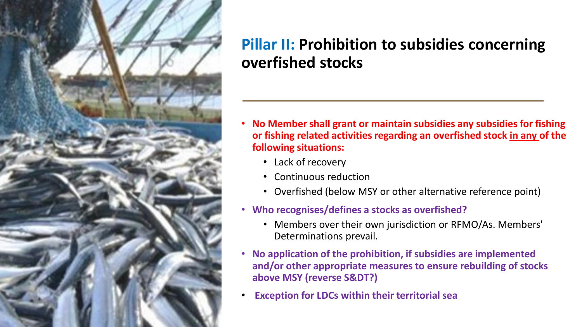

#### **Pillar II: Prohibition to subsidies concerning overfished stocks**

- **No Member shall grant or maintain subsidies any subsidies for fishing or fishing related activities regarding an overfished stock in any of the following situations:**
	- Lack of recovery
	- Continuous reduction
	- Overfished (below MSY or other alternative reference point)
- **Who recognises/defines a stocks as overfished?**
	- Members over their own jurisdiction or RFMO/As. Members' Determinations prevail.
- **No application of the prohibition, if subsidies are implemented and/or other appropriate measures to ensure rebuilding of stocks above MSY (reverse S&DT?)**
- **Exception for LDCs within their territorial sea**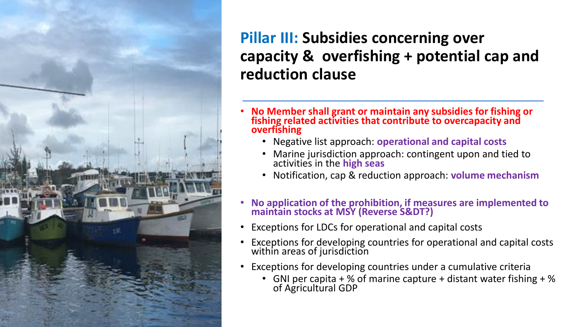

#### **Pillar III: Subsidies concerning over capacity & overfishing + potential cap and reduction clause**

- **No Member shall grant or maintain any subsidies for fishing or fishing related activities that contribute to overcapacity and overfishing**
	- Negative list approach: **operational and capital costs**
	- Marine jurisdiction approach: contingent upon and tied to activities in the **high seas**
	- Notification, cap & reduction approach: **volume mechanism**
- **No application of the prohibition, if measures are implemented to maintain stocks at MSY (Reverse S&DT?)**
- Exceptions for LDCs for operational and capital costs
- Exceptions for developing countries for operational and capital costs within areas of jurisdiction
- Exceptions for developing countries under a cumulative criteria
	- GNI per capita  $+$  % of marine capture + distant water fishing  $+$  % of Agricultural GDP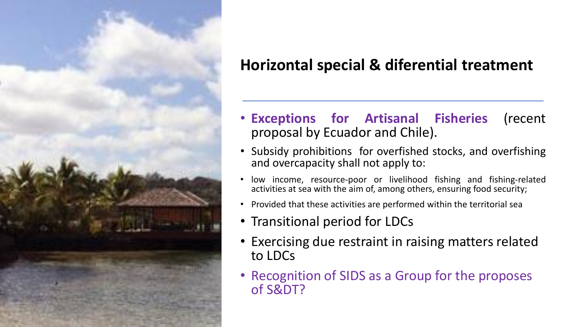

### **Horizontal special & diferential treatment**

- **Exceptions for Artisanal Fisheries** (recent proposal by Ecuador and Chile).
- Subsidy prohibitions for overfished stocks, and overfishing and overcapacity shall not apply to:
- low income, resource-poor or livelihood fishing and fishing-related activities at sea with the aim of, among others, ensuring food security;
- Provided that these activities are performed within the territorial sea
- Transitional period for LDCs
- Exercising due restraint in raising matters related to LDCs
- Recognition of SIDS as a Group for the proposes of S&DT?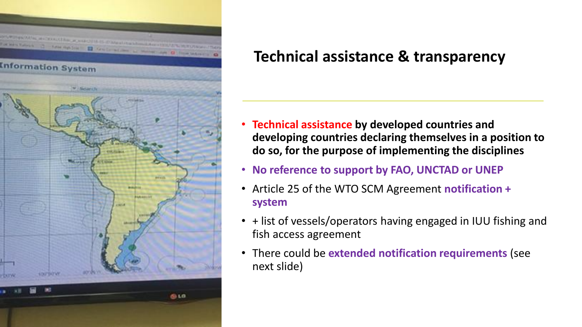

#### **Technical assistance & transparency**

- **Technical assistance by developed countries and developing countries declaring themselves in a position to do so, for the purpose of implementing the disciplines**
- **No reference to support by FAO, UNCTAD or UNEP**
- Article 25 of the WTO SCM Agreement **notification + system**
- + list of vessels/operators having engaged in IUU fishing and fish access agreement
- There could be **extended notification requirements** (see next slide)